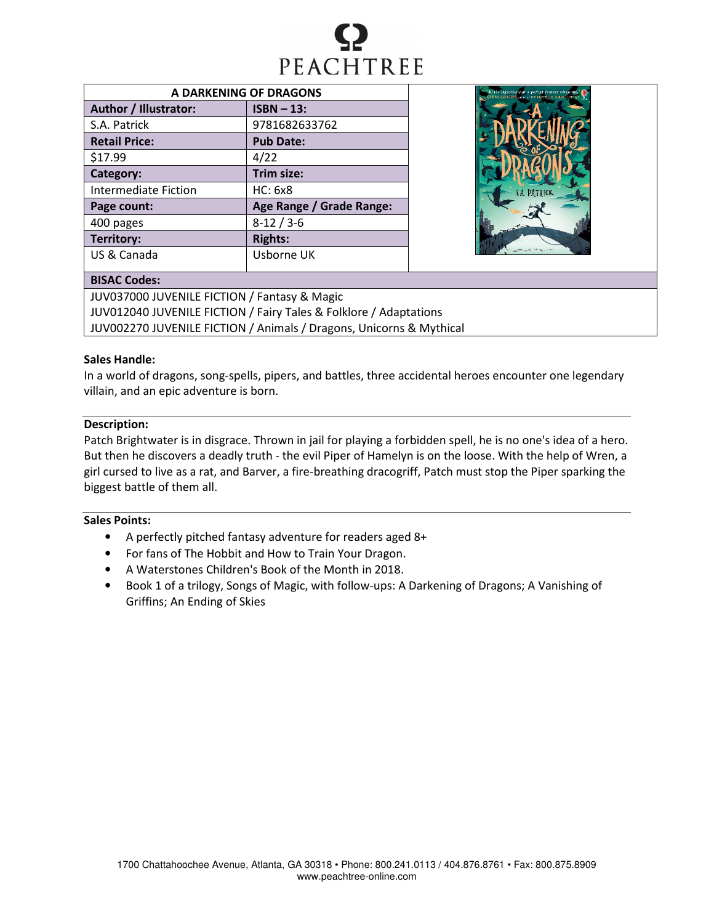

| A DARKENING OF DRAGONS      |                          |  |  |
|-----------------------------|--------------------------|--|--|
| Author / Illustrator:       | $ISBN - 13:$             |  |  |
| S.A. Patrick                | 9781682633762            |  |  |
| <b>Retail Price:</b>        | <b>Pub Date:</b>         |  |  |
| \$17.99                     | 4/22                     |  |  |
| Category:                   | Trim size:               |  |  |
| <b>Intermediate Fiction</b> | HC: 6x8                  |  |  |
| Page count:                 | Age Range / Grade Range: |  |  |
| 400 pages                   | $8-12/3-6$               |  |  |
| Territory:                  | <b>Rights:</b>           |  |  |
| US & Canada                 | Usborne UK               |  |  |



# BISAC Codes:

JUV037000 JUVENILE FICTION / Fantasy & Magic JUV012040 JUVENILE FICTION / Fairy Tales & Folklore / Adaptations JUV002270 JUVENILE FICTION / Animals / Dragons, Unicorns & Mythical

# Sales Handle:

In a world of dragons, song-spells, pipers, and battles, three accidental heroes encounter one legendary villain, and an epic adventure is born.

# Description:

Patch Brightwater is in disgrace. Thrown in jail for playing a forbidden spell, he is no one's idea of a hero. But then he discovers a deadly truth - the evil Piper of Hamelyn is on the loose. With the help of Wren, a girl cursed to live as a rat, and Barver, a fire-breathing dracogriff, Patch must stop the Piper sparking the biggest battle of them all.

## Sales Points:

- A perfectly pitched fantasy adventure for readers aged 8+
- For fans of The Hobbit and How to Train Your Dragon.
- A Waterstones Children's Book of the Month in 2018.
- Book 1 of a trilogy, Songs of Magic, with follow-ups: A Darkening of Dragons; A Vanishing of Griffins; An Ending of Skies